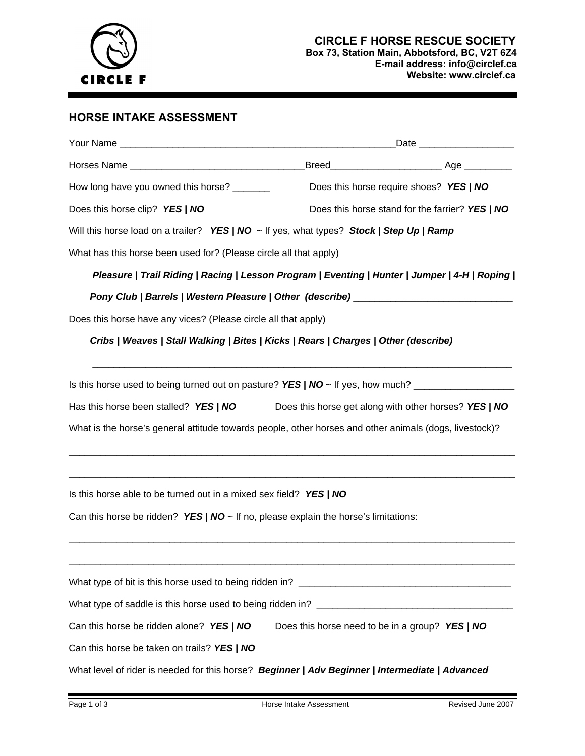

#### **CIRCLE F HORSE RESCUE SOCIETY Box 73, Station Main, Abbotsford, BC, V2T 6Z4 E-mail address: info@circlef.ca Website: www.circlef.ca**

# **HORSE INTAKE ASSESSMENT**

|                                                                                                        | Date __________________                         |                                                       |  |  |  |  |  |
|--------------------------------------------------------------------------------------------------------|-------------------------------------------------|-------------------------------------------------------|--|--|--|--|--|
|                                                                                                        |                                                 |                                                       |  |  |  |  |  |
| How long have you owned this horse? ______                                                             |                                                 | Does this horse require shoes? YES / NO               |  |  |  |  |  |
| Does this horse clip? YES / NO                                                                         | Does this horse stand for the farrier? YES / NO |                                                       |  |  |  |  |  |
| Will this horse load on a trailer? <i>YES   NO ~</i> If yes, what types? <i>Stock   Step Up   Ramp</i> |                                                 |                                                       |  |  |  |  |  |
| What has this horse been used for? (Please circle all that apply)                                      |                                                 |                                                       |  |  |  |  |  |
| Pleasure   Trail Riding   Racing   Lesson Program   Eventing   Hunter   Jumper   4-H   Roping          |                                                 |                                                       |  |  |  |  |  |
| Pony Club   Barrels   Western Pleasure   Other (describe) ______________________                       |                                                 |                                                       |  |  |  |  |  |
| Does this horse have any vices? (Please circle all that apply)                                         |                                                 |                                                       |  |  |  |  |  |
| Cribs   Weaves   Stall Walking   Bites   Kicks   Rears   Charges   Other (describe)                    |                                                 |                                                       |  |  |  |  |  |
|                                                                                                        |                                                 |                                                       |  |  |  |  |  |
| Has this horse been stalled? YES / NO                                                                  |                                                 | Does this horse get along with other horses? YES / NO |  |  |  |  |  |
| What is the horse's general attitude towards people, other horses and other animals (dogs, livestock)? |                                                 |                                                       |  |  |  |  |  |
|                                                                                                        |                                                 |                                                       |  |  |  |  |  |
| Is this horse able to be turned out in a mixed sex field? YES / NO                                     |                                                 |                                                       |  |  |  |  |  |
| Can this horse be ridden? YES   $NO \sim$ If no, please explain the horse's limitations:               |                                                 |                                                       |  |  |  |  |  |
|                                                                                                        |                                                 |                                                       |  |  |  |  |  |
|                                                                                                        |                                                 |                                                       |  |  |  |  |  |
|                                                                                                        |                                                 |                                                       |  |  |  |  |  |
| Can this horse be ridden alone? YES   NO                                                               | Does this horse need to be in a group? YES   NO |                                                       |  |  |  |  |  |
| Can this horse be taken on trails? YES / NO                                                            |                                                 |                                                       |  |  |  |  |  |
| What level of rider is needed for this horse? Beginner   Adv Beginner   Intermediate   Advanced        |                                                 |                                                       |  |  |  |  |  |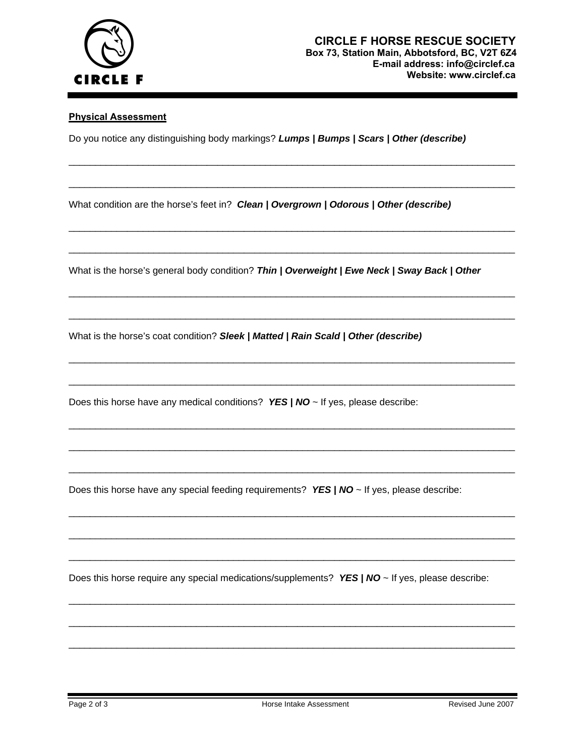

#### **Physical Assessment**

Do you notice any distinguishing body markings? *Lumps | Bumps | Scars | Other (describe)* 

\_\_\_\_\_\_\_\_\_\_\_\_\_\_\_\_\_\_\_\_\_\_\_\_\_\_\_\_\_\_\_\_\_\_\_\_\_\_\_\_\_\_\_\_\_\_\_\_\_\_\_\_\_\_\_\_\_\_\_\_\_\_\_\_\_\_\_\_\_\_\_\_\_\_\_\_\_\_\_\_\_\_\_\_

\_\_\_\_\_\_\_\_\_\_\_\_\_\_\_\_\_\_\_\_\_\_\_\_\_\_\_\_\_\_\_\_\_\_\_\_\_\_\_\_\_\_\_\_\_\_\_\_\_\_\_\_\_\_\_\_\_\_\_\_\_\_\_\_\_\_\_\_\_\_\_\_\_\_\_\_\_\_\_\_\_\_\_\_

\_\_\_\_\_\_\_\_\_\_\_\_\_\_\_\_\_\_\_\_\_\_\_\_\_\_\_\_\_\_\_\_\_\_\_\_\_\_\_\_\_\_\_\_\_\_\_\_\_\_\_\_\_\_\_\_\_\_\_\_\_\_\_\_\_\_\_\_\_\_\_\_\_\_\_\_\_\_\_\_\_\_\_\_

\_\_\_\_\_\_\_\_\_\_\_\_\_\_\_\_\_\_\_\_\_\_\_\_\_\_\_\_\_\_\_\_\_\_\_\_\_\_\_\_\_\_\_\_\_\_\_\_\_\_\_\_\_\_\_\_\_\_\_\_\_\_\_\_\_\_\_\_\_\_\_\_\_\_\_\_\_\_\_\_\_\_\_\_

\_\_\_\_\_\_\_\_\_\_\_\_\_\_\_\_\_\_\_\_\_\_\_\_\_\_\_\_\_\_\_\_\_\_\_\_\_\_\_\_\_\_\_\_\_\_\_\_\_\_\_\_\_\_\_\_\_\_\_\_\_\_\_\_\_\_\_\_\_\_\_\_\_\_\_\_\_\_\_\_\_\_\_\_

\_\_\_\_\_\_\_\_\_\_\_\_\_\_\_\_\_\_\_\_\_\_\_\_\_\_\_\_\_\_\_\_\_\_\_\_\_\_\_\_\_\_\_\_\_\_\_\_\_\_\_\_\_\_\_\_\_\_\_\_\_\_\_\_\_\_\_\_\_\_\_\_\_\_\_\_\_\_\_\_\_\_\_\_

\_\_\_\_\_\_\_\_\_\_\_\_\_\_\_\_\_\_\_\_\_\_\_\_\_\_\_\_\_\_\_\_\_\_\_\_\_\_\_\_\_\_\_\_\_\_\_\_\_\_\_\_\_\_\_\_\_\_\_\_\_\_\_\_\_\_\_\_\_\_\_\_\_\_\_\_\_\_\_\_\_\_\_\_

\_\_\_\_\_\_\_\_\_\_\_\_\_\_\_\_\_\_\_\_\_\_\_\_\_\_\_\_\_\_\_\_\_\_\_\_\_\_\_\_\_\_\_\_\_\_\_\_\_\_\_\_\_\_\_\_\_\_\_\_\_\_\_\_\_\_\_\_\_\_\_\_\_\_\_\_\_\_\_\_\_\_\_\_

\_\_\_\_\_\_\_\_\_\_\_\_\_\_\_\_\_\_\_\_\_\_\_\_\_\_\_\_\_\_\_\_\_\_\_\_\_\_\_\_\_\_\_\_\_\_\_\_\_\_\_\_\_\_\_\_\_\_\_\_\_\_\_\_\_\_\_\_\_\_\_\_\_\_\_\_\_\_\_\_\_\_\_\_

\_\_\_\_\_\_\_\_\_\_\_\_\_\_\_\_\_\_\_\_\_\_\_\_\_\_\_\_\_\_\_\_\_\_\_\_\_\_\_\_\_\_\_\_\_\_\_\_\_\_\_\_\_\_\_\_\_\_\_\_\_\_\_\_\_\_\_\_\_\_\_\_\_\_\_\_\_\_\_\_\_\_\_\_

\_\_\_\_\_\_\_\_\_\_\_\_\_\_\_\_\_\_\_\_\_\_\_\_\_\_\_\_\_\_\_\_\_\_\_\_\_\_\_\_\_\_\_\_\_\_\_\_\_\_\_\_\_\_\_\_\_\_\_\_\_\_\_\_\_\_\_\_\_\_\_\_\_\_\_\_\_\_\_\_\_\_\_\_

\_\_\_\_\_\_\_\_\_\_\_\_\_\_\_\_\_\_\_\_\_\_\_\_\_\_\_\_\_\_\_\_\_\_\_\_\_\_\_\_\_\_\_\_\_\_\_\_\_\_\_\_\_\_\_\_\_\_\_\_\_\_\_\_\_\_\_\_\_\_\_\_\_\_\_\_\_\_\_\_\_\_\_\_

\_\_\_\_\_\_\_\_\_\_\_\_\_\_\_\_\_\_\_\_\_\_\_\_\_\_\_\_\_\_\_\_\_\_\_\_\_\_\_\_\_\_\_\_\_\_\_\_\_\_\_\_\_\_\_\_\_\_\_\_\_\_\_\_\_\_\_\_\_\_\_\_\_\_\_\_\_\_\_\_\_\_\_\_

\_\_\_\_\_\_\_\_\_\_\_\_\_\_\_\_\_\_\_\_\_\_\_\_\_\_\_\_\_\_\_\_\_\_\_\_\_\_\_\_\_\_\_\_\_\_\_\_\_\_\_\_\_\_\_\_\_\_\_\_\_\_\_\_\_\_\_\_\_\_\_\_\_\_\_\_\_\_\_\_\_\_\_\_

\_\_\_\_\_\_\_\_\_\_\_\_\_\_\_\_\_\_\_\_\_\_\_\_\_\_\_\_\_\_\_\_\_\_\_\_\_\_\_\_\_\_\_\_\_\_\_\_\_\_\_\_\_\_\_\_\_\_\_\_\_\_\_\_\_\_\_\_\_\_\_\_\_\_\_\_\_\_\_\_\_\_\_\_

\_\_\_\_\_\_\_\_\_\_\_\_\_\_\_\_\_\_\_\_\_\_\_\_\_\_\_\_\_\_\_\_\_\_\_\_\_\_\_\_\_\_\_\_\_\_\_\_\_\_\_\_\_\_\_\_\_\_\_\_\_\_\_\_\_\_\_\_\_\_\_\_\_\_\_\_\_\_\_\_\_\_\_\_

\_\_\_\_\_\_\_\_\_\_\_\_\_\_\_\_\_\_\_\_\_\_\_\_\_\_\_\_\_\_\_\_\_\_\_\_\_\_\_\_\_\_\_\_\_\_\_\_\_\_\_\_\_\_\_\_\_\_\_\_\_\_\_\_\_\_\_\_\_\_\_\_\_\_\_\_\_\_\_\_\_\_\_\_

What condition are the horse's feet in? *Clean | Overgrown | Odorous | Other (describe)* 

What is the horse's general body condition? *Thin | Overweight | Ewe Neck | Sway Back | Other* 

What is the horse's coat condition? *Sleek | Matted | Rain Scald | Other (describe)*

Does this horse have any medical conditions? *YES | NO* ~ If yes, please describe:

Does this horse have any special feeding requirements? *YES | NO* ~ If yes, please describe:

Does this horse require any special medications/supplements? *YES | NO* ~ If yes, please describe: